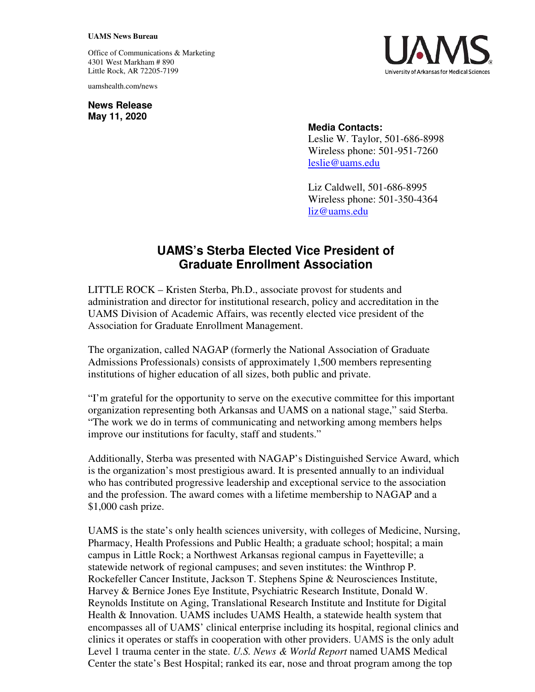## **UAMS News Bureau**

Office of Communications & Marketing 4301 West Markham # 890 Little Rock, AR 72205-7199

uamshealth.com/news

**News Release May 11, 2020**



## **Media Contacts:**

Leslie W. Taylor, 501-686-8998 Wireless phone: 501-951-7260 leslie@uams.edu

Liz Caldwell, 501-686-8995 Wireless phone: 501-350-4364 liz@uams.edu

## **UAMS's Sterba Elected Vice President of Graduate Enrollment Association**

LITTLE ROCK – Kristen Sterba, Ph.D., associate provost for students and administration and director for institutional research, policy and accreditation in the UAMS Division of Academic Affairs, was recently elected vice president of the Association for Graduate Enrollment Management.

The organization, called NAGAP (formerly the National Association of Graduate Admissions Professionals) consists of approximately 1,500 members representing institutions of higher education of all sizes, both public and private.

"I'm grateful for the opportunity to serve on the executive committee for this important organization representing both Arkansas and UAMS on a national stage," said Sterba. "The work we do in terms of communicating and networking among members helps improve our institutions for faculty, staff and students."

Additionally, Sterba was presented with NAGAP's Distinguished Service Award, which is the organization's most prestigious award. It is presented annually to an individual who has contributed progressive leadership and exceptional service to the association and the profession. The award comes with a lifetime membership to NAGAP and a \$1,000 cash prize.

UAMS is the state's only health sciences university, with colleges of Medicine, Nursing, Pharmacy, Health Professions and Public Health; a graduate school; hospital; a main campus in Little Rock; a Northwest Arkansas regional campus in Fayetteville; a statewide network of regional campuses; and seven institutes: the Winthrop P. Rockefeller Cancer Institute, Jackson T. Stephens Spine & Neurosciences Institute, Harvey & Bernice Jones Eye Institute, Psychiatric Research Institute, Donald W. Reynolds Institute on Aging, Translational Research Institute and Institute for Digital Health & Innovation. UAMS includes UAMS Health, a statewide health system that encompasses all of UAMS' clinical enterprise including its hospital, regional clinics and clinics it operates or staffs in cooperation with other providers. UAMS is the only adult Level 1 trauma center in the state. *U.S. News & World Report* named UAMS Medical Center the state's Best Hospital; ranked its ear, nose and throat program among the top